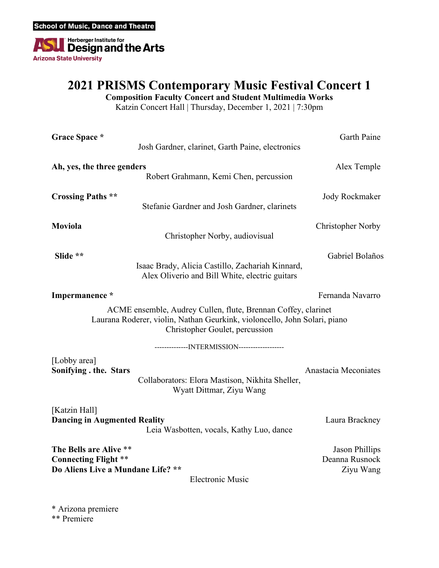

### **2021 PRISMS Contemporary Music Festival Concert 1**

**Composition Faculty Concert and Student Multimedia Works**

Katzin Concert Hall | Thursday, December 1, 2021 | 7:30pm

| Grace Space *                                                                                                                                                                | Josh Gardner, clarinet, Garth Paine, electronics                                                   | Garth Paine                                          |
|------------------------------------------------------------------------------------------------------------------------------------------------------------------------------|----------------------------------------------------------------------------------------------------|------------------------------------------------------|
| Ah, yes, the three genders                                                                                                                                                   | Robert Grahmann, Kemi Chen, percussion                                                             | Alex Temple                                          |
| <b>Crossing Paths **</b>                                                                                                                                                     | Stefanie Gardner and Josh Gardner, clarinets                                                       | Jody Rockmaker                                       |
| Moviola                                                                                                                                                                      | Christopher Norby, audiovisual                                                                     | <b>Christopher Norby</b>                             |
| Slide **                                                                                                                                                                     | Isaac Brady, Alicia Castillo, Zachariah Kinnard,<br>Alex Oliverio and Bill White, electric guitars | Gabriel Bolaños                                      |
| Impermanence *                                                                                                                                                               |                                                                                                    | Fernanda Navarro                                     |
| ACME ensemble, Audrey Cullen, flute, Brennan Coffey, clarinet<br>Laurana Roderer, violin, Nathan Geurkink, violoncello, John Solari, piano<br>Christopher Goulet, percussion |                                                                                                    |                                                      |
|                                                                                                                                                                              | ---------------INTERMISSION-------------------                                                     |                                                      |
| [Lobby area]<br>Sonifying . the. Stars                                                                                                                                       | Collaborators: Elora Mastison, Nikhita Sheller,<br>Wyatt Dittmar, Ziyu Wang                        | Anastacia Meconiates                                 |
| [Katzin Hall]<br><b>Dancing in Augmented Reality</b>                                                                                                                         | Leia Wasbotten, vocals, Kathy Luo, dance                                                           | Laura Brackney                                       |
| The Bells are Alive **<br><b>Connecting Flight **</b><br>Do Aliens Live a Mundane Life? **                                                                                   | <b>Electronic Music</b>                                                                            | <b>Jason Phillips</b><br>Deanna Rusnock<br>Ziyu Wang |

\* Arizona premiere \*\* Premiere